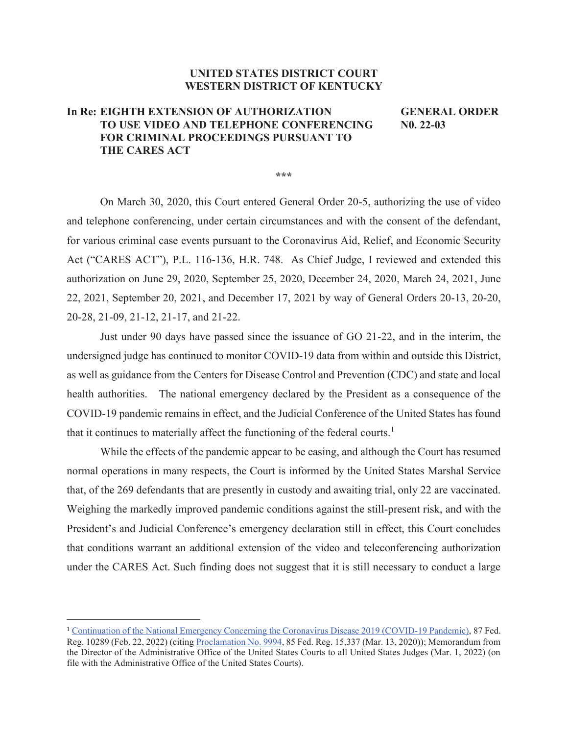## **UNITED STATES DISTRICT COURT WESTERN DISTRICT OF KENTUCKY**

## **In Re: EIGHTH EXTENSION OF AUTHORIZATION GENERAL ORDER TO USE VIDEO AND TELEPHONE CONFERENCING N0. 22-03 FOR CRIMINAL PROCEEDINGS PURSUANT TO THE CARES ACT**

**\*\*\*** 

 On March 30, 2020, this Court entered General Order 20-5, authorizing the use of video and telephone conferencing, under certain circumstances and with the consent of the defendant, for various criminal case events pursuant to the Coronavirus Aid, Relief, and Economic Security Act ("CARES ACT"), P.L. 116-136, H.R. 748. As Chief Judge, I reviewed and extended this authorization on June 29, 2020, September 25, 2020, December 24, 2020, March 24, 2021, June 22, 2021, September 20, 2021, and December 17, 2021 by way of General Orders 20-13, 20-20, 20-28, 21-09, 21-12, 21-17, and 21-22.

Just under 90 days have passed since the issuance of GO 21-22, and in the interim, the undersigned judge has continued to monitor COVID-19 data from within and outside this District, as well as guidance from the Centers for Disease Control and Prevention (CDC) and state and local health authorities. The national emergency declared by the President as a consequence of the COVID-19 pandemic remains in effect, and the Judicial Conference of the United States has found that it continues to materially affect the functioning of the federal courts.<sup>1</sup>

While the effects of the pandemic appear to be easing, and although the Court has resumed normal operations in many respects, the Court is informed by the United States Marshal Service that, of the 269 defendants that are presently in custody and awaiting trial, only 22 are vaccinated. Weighing the markedly improved pandemic conditions against the still-present risk, and with the President's and Judicial Conference's emergency declaration still in effect, this Court concludes that conditions warrant an additional extension of the video and teleconferencing authorization under the CARES Act. Such finding does not suggest that it is still necessary to conduct a large

<sup>1</sup> Continuation of the National Emergency Concerning the Coronavirus Disease 2019 (COVID-19 Pandemic), 87 Fed. Reg. 10289 (Feb. 22, 2022) (citing Proclamation No. 9994, 85 Fed. Reg. 15,337 (Mar. 13, 2020)); Memorandum from the Director of the Administrative Office of the United States Courts to all United States Judges (Mar. 1, 2022) (on file with the Administrative Office of the United States Courts).